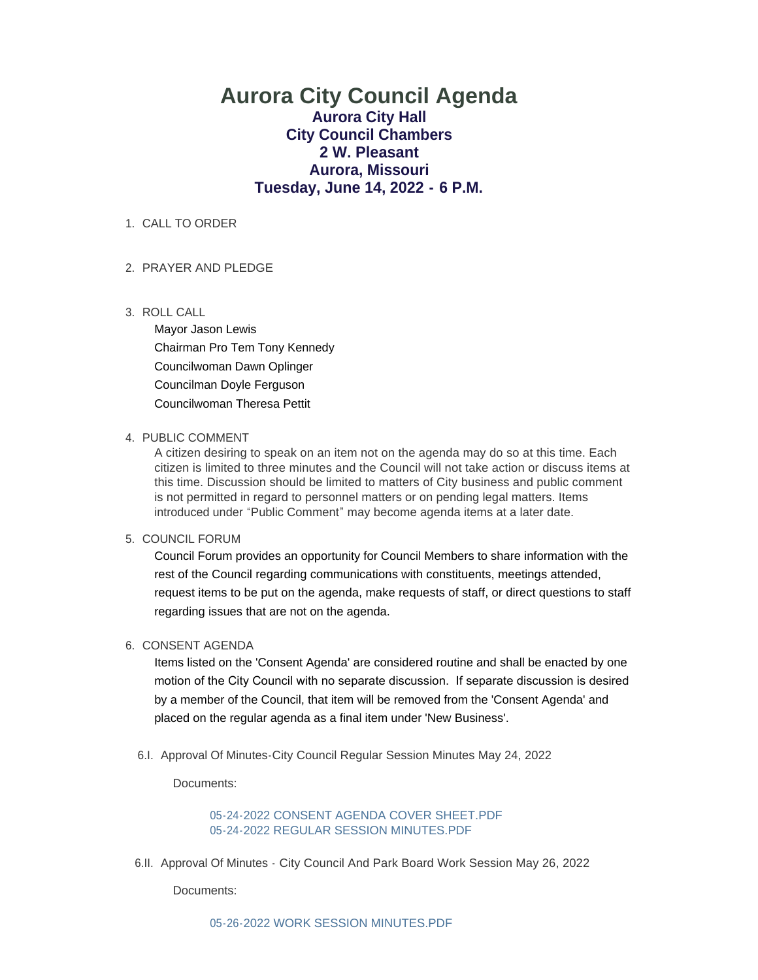# **Aurora City Council Agenda Aurora City Hall City Council Chambers 2 W. Pleasant Aurora, Missouri Tuesday, June 14, 2022 - 6 P.M.**

## 1. CALL TO ORDER

## PRAYER AND PLEDGE 2.

ROLL CALL 3.

Mayor Jason Lewis Chairman Pro Tem Tony Kennedy Councilwoman Dawn Oplinger Councilman Doyle Ferguson Councilwoman Theresa Pettit

## 4. PUBLIC COMMENT

A citizen desiring to speak on an item not on the agenda may do so at this time. Each citizen is limited to three minutes and the Council will not take action or discuss items at this time. Discussion should be limited to matters of City business and public comment is not permitted in regard to personnel matters or on pending legal matters. Items introduced under "Public Comment" may become agenda items at a later date.

## 5. COUNCIL FORUM

Council Forum provides an opportunity for Council Members to share information with the rest of the Council regarding communications with constituents, meetings attended, request items to be put on the agenda, make requests of staff, or direct questions to staff regarding issues that are not on the agenda.

# 6. CONSENT AGENDA

Items listed on the 'Consent Agenda' are considered routine and shall be enacted by one motion of the City Council with no separate discussion. If separate discussion is desired by a member of the Council, that item will be removed from the 'Consent Agenda' and placed on the regular agenda as a final item under 'New Business'.

6.I. Approval Of Minutes-City Council Regular Session Minutes May 24, 2022

Documents:

[05-24-2022 CONSENT AGENDA COVER SHEET.PDF](https://www.aurora-cityhall.org/AgendaCenter/ViewFile/Item/1937?fileID=2266) [05-24-2022 REGULAR SESSION MINUTES.PDF](https://www.aurora-cityhall.org/AgendaCenter/ViewFile/Item/1937?fileID=2267)

6.II. Approval Of Minutes - City Council And Park Board Work Session May 26, 2022

Documents: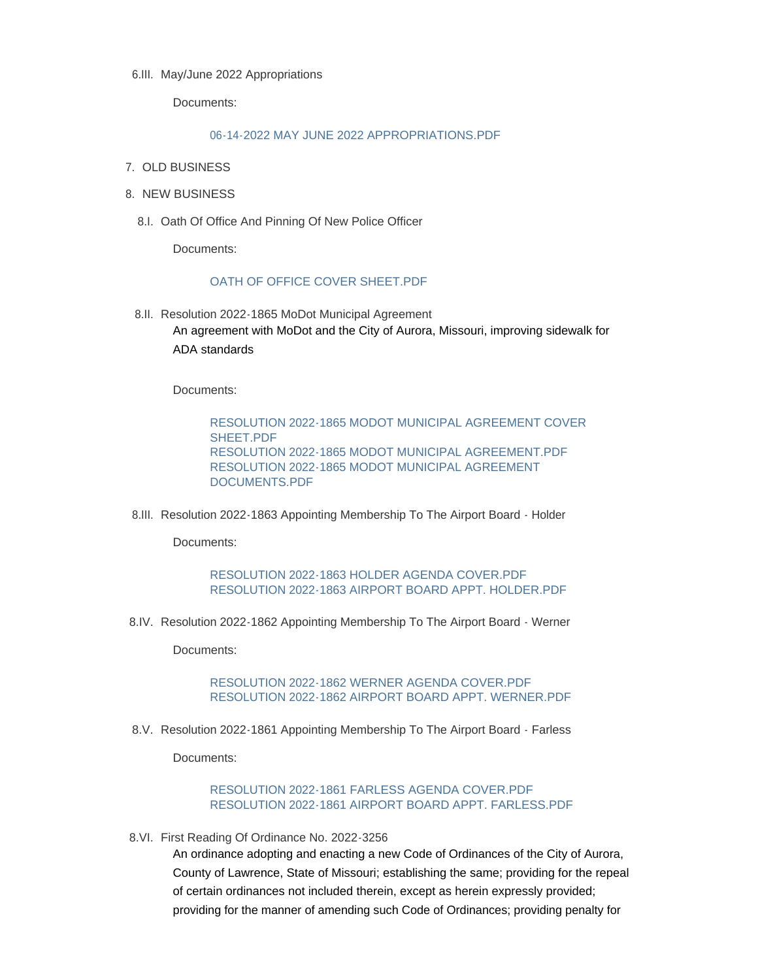6.III. May/June 2022 Appropriations

Documents:

#### [06-14-2022 MAY JUNE 2022 APPROPRIATIONS.PDF](https://www.aurora-cityhall.org/AgendaCenter/ViewFile/Item/1939?fileID=2291)

- 7. OLD BUSINESS
- 8. NEW BUSINESS
	- 8.I. Oath Of Office And Pinning Of New Police Officer

Documents:

## [OATH OF OFFICE COVER SHEET.PDF](https://www.aurora-cityhall.org/AgendaCenter/ViewFile/Item/1940?fileID=2282)

8.II. Resolution 2022-1865 MoDot Municipal Agreement An agreement with MoDot and the City of Aurora, Missouri, improving sidewalk for ADA standards

Documents:

[RESOLUTION 2022-1865 MODOT MUNICIPAL AGREEMENT COVER](https://www.aurora-cityhall.org/AgendaCenter/ViewFile/Item/1945?fileID=2279)  SHEET.PDF [RESOLUTION 2022-1865 MODOT MUNICIPAL AGREEMENT.PDF](https://www.aurora-cityhall.org/AgendaCenter/ViewFile/Item/1945?fileID=2280) [RESOLUTION 2022-1865 MODOT MUNICIPAL AGREEMENT](https://www.aurora-cityhall.org/AgendaCenter/ViewFile/Item/1945?fileID=2281)  DOCUMENTS.PDF

8.III. Resolution 2022-1863 Appointing Membership To The Airport Board - Holder

Documents:

[RESOLUTION 2022-1863 HOLDER AGENDA COVER.PDF](https://www.aurora-cityhall.org/AgendaCenter/ViewFile/Item/1944?fileID=2277) [RESOLUTION 2022-1863 AIRPORT BOARD APPT. HOLDER.PDF](https://www.aurora-cityhall.org/AgendaCenter/ViewFile/Item/1944?fileID=2278)

8.IV. Resolution 2022-1862 Appointing Membership To The Airport Board - Werner

Documents:

[RESOLUTION 2022-1862 WERNER AGENDA COVER.PDF](https://www.aurora-cityhall.org/AgendaCenter/ViewFile/Item/1943?fileID=2275) [RESOLUTION 2022-1862 AIRPORT BOARD APPT. WERNER.PDF](https://www.aurora-cityhall.org/AgendaCenter/ViewFile/Item/1943?fileID=2276)

8.V. Resolution 2022-1861 Appointing Membership To The Airport Board - Farless

Documents:

[RESOLUTION 2022-1861 FARLESS AGENDA COVER.PDF](https://www.aurora-cityhall.org/AgendaCenter/ViewFile/Item/1942?fileID=2274) [RESOLUTION 2022-1861 AIRPORT BOARD APPT. FARLESS.PDF](https://www.aurora-cityhall.org/AgendaCenter/ViewFile/Item/1942?fileID=2273)

8.VI. First Reading Of Ordinance No. 2022-3256

An ordinance adopting and enacting a new Code of Ordinances of the City of Aurora, County of Lawrence, State of Missouri; establishing the same; providing for the repeal of certain ordinances not included therein, except as herein expressly provided; providing for the manner of amending such Code of Ordinances; providing penalty for